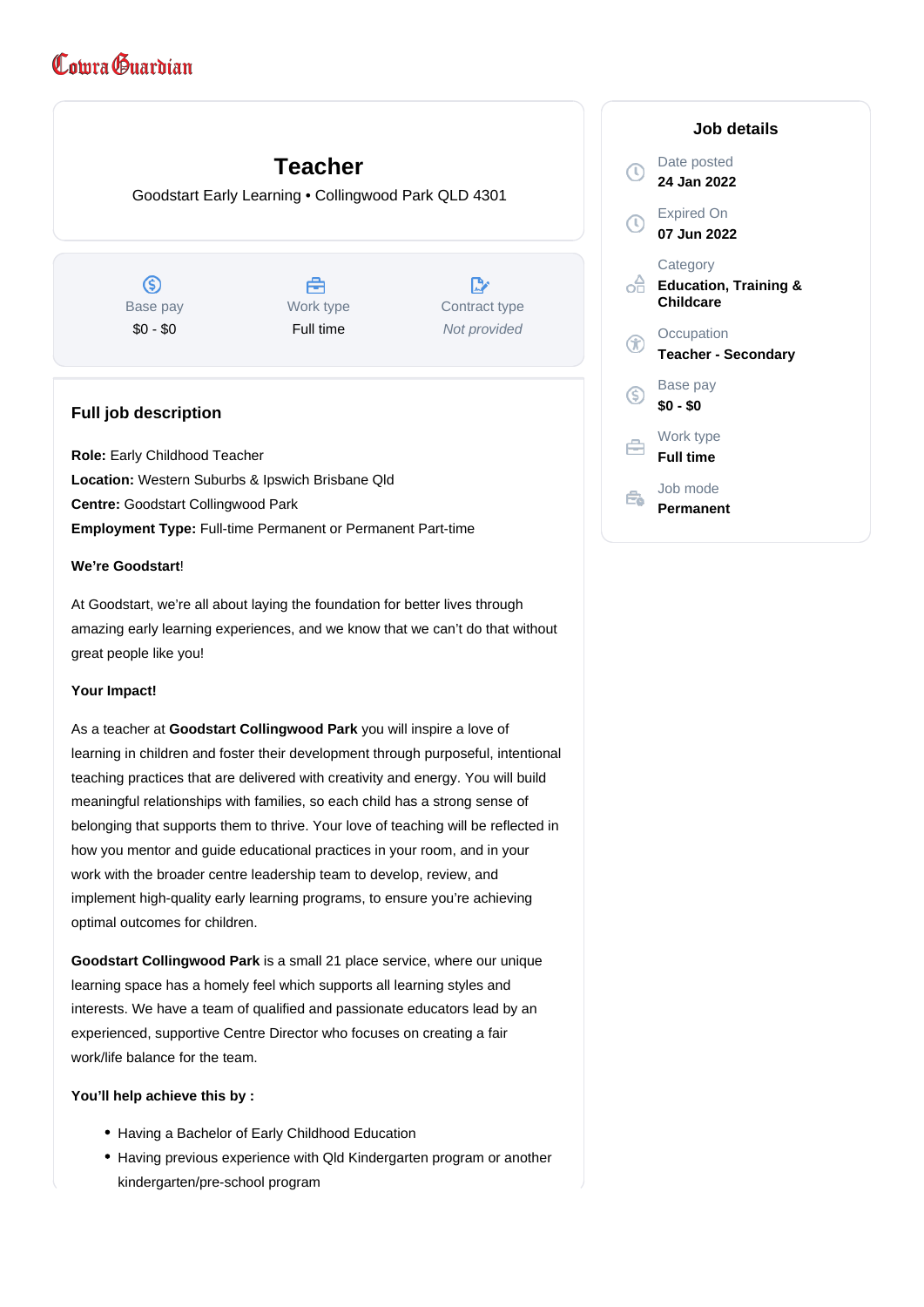# Comra Guardian

# **Teacher**

Goodstart Early Learning • Collingwood Park QLD 4301

 $\circledS$ Base pay \$0 - \$0

曲 Work type Full time

 $\mathbb{R}$ Contract type Not provided

# **Full job description**

 Early Childhood Teacher **Role:** Location: Western Suburbs & Ipswich Brisbane Qld Goodstart Collingwood Park **Centre: Employment Type: Full-time Permanent or Permanent Part-time** 

# **We're Goodstart**!

At Goodstart, we're all about laying the foundation for better lives through amazing early learning experiences, and we know that we can't do that without great people like you!

# **Your Impact!**

As a teacher at Goodstart Collingwood Park you will inspire a love of learning in children and foster their development through purposeful, intentional teaching practices that are delivered with creativity and energy. You will build meaningful relationships with families, so each child has a strong sense of belonging that supports them to thrive. Your love of teaching will be reflected in how you mentor and guide educational practices in your room, and in your work with the broader centre leadership team to develop, review, and implement high-quality early learning programs, to ensure you're achieving optimal outcomes for children.

Goodstart Collingwood Park is a small 21 place service, where our unique learning space has a homely feel which supports all learning styles and interests. We have a team of qualified and passionate educators lead by an experienced, supportive Centre Director who focuses on creating a fair work/life balance for the team.

#### **You'll help achieve this by :**

- Having a Bachelor of Early Childhood Education
- Having previous experience with Qld Kindergarten program or another kindergarten/pre-school program

|    | Job details                                               |
|----|-----------------------------------------------------------|
|    | Date posted<br>24 Jan 2022                                |
|    | <b>Expired On</b><br>07 Jun 2022                          |
| ۰Ħ | Category<br><b>Education, Training &amp;</b><br>Childcare |
|    | Occupation<br><b>Teacher - Secondary</b>                  |
| S  | Base pay<br>\$0 - \$0                                     |
|    | Work type<br><b>Full time</b>                             |
|    | Job mode<br>Permanent                                     |